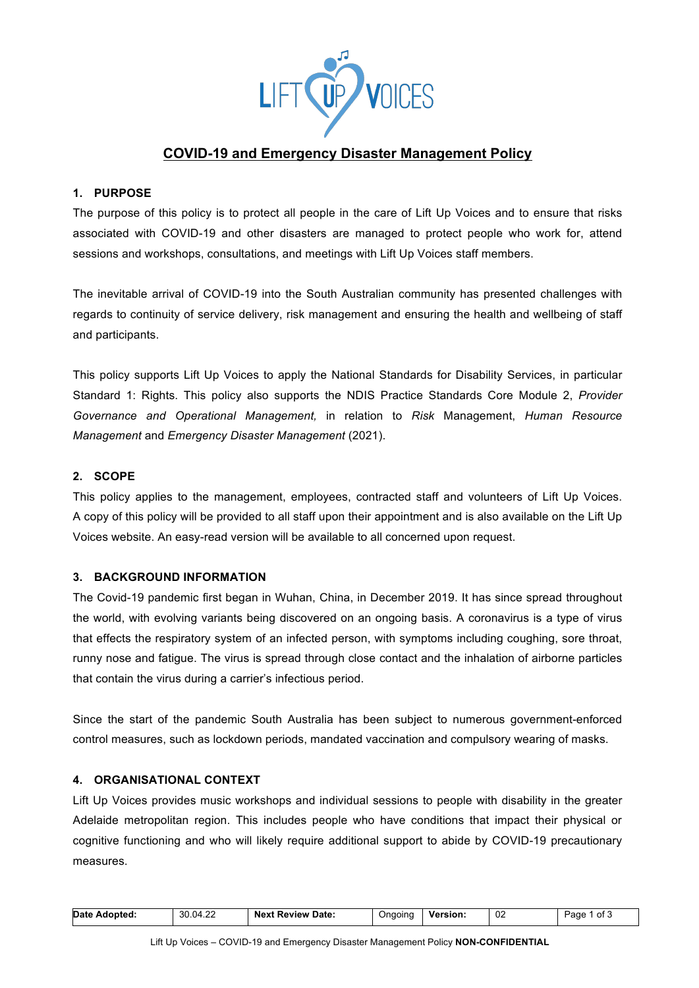

# **COVID-19 and Emergency Disaster Management Policy**

## **1. PURPOSE**

The purpose of this policy is to protect all people in the care of Lift Up Voices and to ensure that risks associated with COVID-19 and other disasters are managed to protect people who work for, attend sessions and workshops, consultations, and meetings with Lift Up Voices staff members.

The inevitable arrival of COVID-19 into the South Australian community has presented challenges with regards to continuity of service delivery, risk management and ensuring the health and wellbeing of staff and participants.

This policy supports Lift Up Voices to apply the National Standards for Disability Services, in particular Standard 1: Rights. This policy also supports the NDIS Practice Standards Core Module 2, *Provider Governance and Operational Management,* in relation to *Risk* Management, *Human Resource Management* and *Emergency Disaster Management* (2021).

## **2. SCOPE**

This policy applies to the management, employees, contracted staff and volunteers of Lift Up Voices. A copy of this policy will be provided to all staff upon their appointment and is also available on the Lift Up Voices website. An easy-read version will be available to all concerned upon request.

## **3. BACKGROUND INFORMATION**

The Covid-19 pandemic first began in Wuhan, China, in December 2019. It has since spread throughout the world, with evolving variants being discovered on an ongoing basis. A coronavirus is a type of virus that effects the respiratory system of an infected person, with symptoms including coughing, sore throat, runny nose and fatigue. The virus is spread through close contact and the inhalation of airborne particles that contain the virus during a carrier's infectious period.

Since the start of the pandemic South Australia has been subject to numerous government-enforced control measures, such as lockdown periods, mandated vaccination and compulsory wearing of masks.

## **4. ORGANISATIONAL CONTEXT**

Lift Up Voices provides music workshops and individual sessions to people with disability in the greater Adelaide metropolitan region. This includes people who have conditions that impact their physical or cognitive functioning and who will likely require additional support to abide by COVID-19 precautionary measures.

| Date Adopted: | 30.04.22 | <b>Next Review Date:</b> | Ongoing | <b>Version:</b> | 02<br>$\sim$ | Page<br>າ of J |
|---------------|----------|--------------------------|---------|-----------------|--------------|----------------|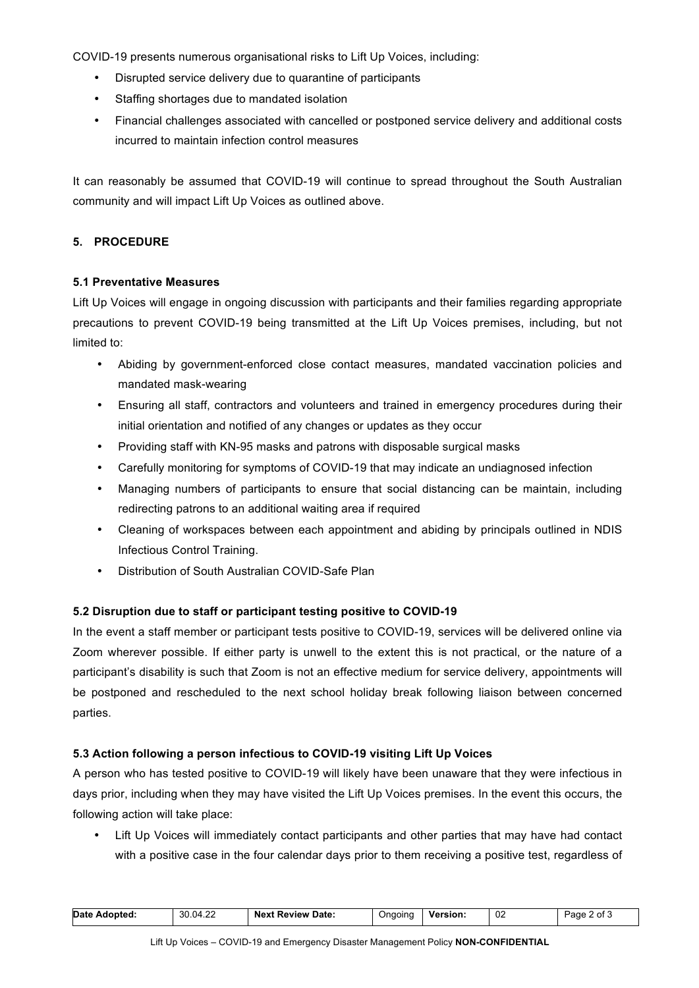COVID-19 presents numerous organisational risks to Lift Up Voices, including:

- Disrupted service delivery due to quarantine of participants
- Staffing shortages due to mandated isolation
- Financial challenges associated with cancelled or postponed service delivery and additional costs incurred to maintain infection control measures

It can reasonably be assumed that COVID-19 will continue to spread throughout the South Australian community and will impact Lift Up Voices as outlined above.

## **5. PROCEDURE**

## **5.1 Preventative Measures**

Lift Up Voices will engage in ongoing discussion with participants and their families regarding appropriate precautions to prevent COVID-19 being transmitted at the Lift Up Voices premises, including, but not limited to:

- Abiding by government-enforced close contact measures, mandated vaccination policies and mandated mask-wearing
- Ensuring all staff, contractors and volunteers and trained in emergency procedures during their initial orientation and notified of any changes or updates as they occur
- Providing staff with KN-95 masks and patrons with disposable surgical masks
- Carefully monitoring for symptoms of COVID-19 that may indicate an undiagnosed infection
- Managing numbers of participants to ensure that social distancing can be maintain, including redirecting patrons to an additional waiting area if required
- Cleaning of workspaces between each appointment and abiding by principals outlined in NDIS Infectious Control Training.
- Distribution of South Australian COVID-Safe Plan

## **5.2 Disruption due to staff or participant testing positive to COVID-19**

In the event a staff member or participant tests positive to COVID-19, services will be delivered online via Zoom wherever possible. If either party is unwell to the extent this is not practical, or the nature of a participant's disability is such that Zoom is not an effective medium for service delivery, appointments will be postponed and rescheduled to the next school holiday break following liaison between concerned parties.

## **5.3 Action following a person infectious to COVID-19 visiting Lift Up Voices**

A person who has tested positive to COVID-19 will likely have been unaware that they were infectious in days prior, including when they may have visited the Lift Up Voices premises. In the event this occurs, the following action will take place:

• Lift Up Voices will immediately contact participants and other parties that may have had contact with a positive case in the four calendar days prior to them receiving a positive test, regardless of

| Date Adopted: | 30.04.22 | <b>Next Review Date:</b> | Ongoing | <b>Version:</b> | 02 | Page 2 of 3 |
|---------------|----------|--------------------------|---------|-----------------|----|-------------|